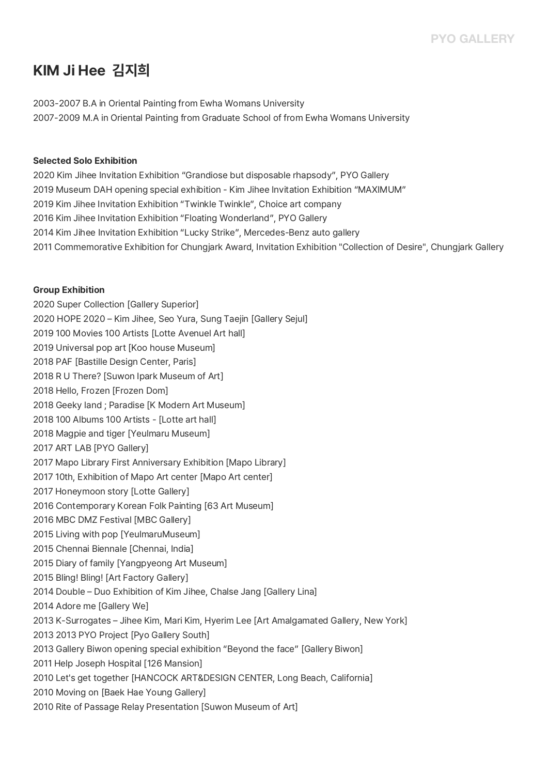# **KIM Ji Hee 김지희**

2003-2007 B.A in Oriental Painting from Ewha Womans University 2007-2009 M.A in Oriental Painting from Graduate School of from Ewha Womans University

#### **Selected Solo Exhibition**

2020 Kim Jihee Invitation Exhibition "Grandiose but disposable rhapsody", PYO Gallery 2019 Museum DAH opening special exhibition - Kim Jihee Invitation Exhibition "MAXIMUM" 2019 Kim Jihee Invitation Exhibition "Twinkle Twinkle", Choice art company 2016 Kim Jihee Invitation Exhibition "Floating Wonderland", PYO Gallery 2014 Kim Jihee Invitation Exhibition "Lucky Strike", Mercedes-Benz auto gallery 2011 Commemorative Exhibition for Chungjark Award, Invitation Exhibition "Collection of Desire", Chungjark Gallery

#### **Group Exhibition**

2020 Super Collection [Gallery Superior] 2020 HOPE 2020 – Kim Jihee, Seo Yura, Sung Taejin [Gallery Sejul] 2019 100 Movies 100 Artists [Lotte Avenuel Art hall] 2019 Universal pop art [Koo house Museum] 2018 PAF [Bastille Design Center, Paris] 2018 R U There? [Suwon Ipark Museum of Art] 2018 Hello, Frozen [Frozen Dom] 2018 Geeky land ; Paradise [K Modern Art Museum] 2018 100 Albums 100 Artists - [Lotte art hall] 2018 Magpie and tiger [Yeulmaru Museum] 2017 ART LAB [PYO Gallery] 2017 Mapo Library First Anniversary Exhibition [Mapo Library] 2017 10th, Exhibition of Mapo Art center [Mapo Art center] 2017 Honeymoon story [Lotte Gallery] 2016 Contemporary Korean Folk Painting [63 Art Museum] 2016 MBC DMZ Festival [MBC Gallery] 2015 Living with pop [YeulmaruMuseum] 2015 Chennai Biennale [Chennai, India] 2015 Diary of family [Yangpyeong Art Museum] 2015 Bling! Bling! [Art Factory Gallery] 2014 Double – Duo Exhibition of Kim Jihee, Chalse Jang [Gallery Lina] 2014 Adore me [Gallery We] 2013 K-Surrogates – Jihee Kim, Mari Kim, Hyerim Lee [Art Amalgamated Gallery, New York] 2013 2013 PYO Project [Pyo Gallery South] 2013 Gallery Biwon opening special exhibition "Beyond the face" [Gallery Biwon] 2011 Help Joseph Hospital [126 Mansion] 2010 Let's get together [HANCOCK ART&DESIGN CENTER, Long Beach, California] 2010 Moving on [Baek Hae Young Gallery] 2010 Rite of Passage Relay Presentation [Suwon Museum of Art]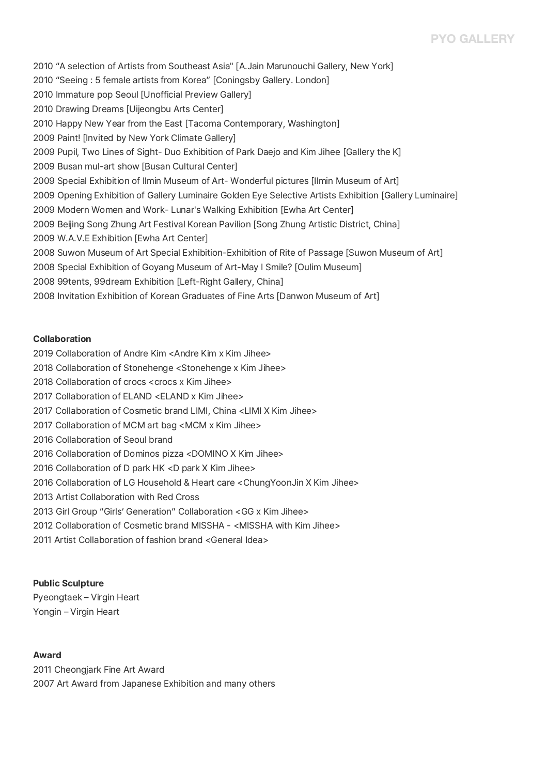## **PYO GALLERY**

2010 "A selection of Artists from Southeast Asia" [A.Jain Marunouchi Gallery, New York] 2010 "Seeing : 5 female artists from Korea" [Coningsby Gallery. London] 2010 Immature pop Seoul [Unofficial Preview Gallery] 2010 Drawing Dreams [Uijeongbu Arts Center] 2010 Happy New Year from the East [Tacoma Contemporary, Washington] 2009 Paint! [Invited by New York Climate Gallery] 2009 Pupil, Two Lines of Sight- Duo Exhibition of Park Daejo and Kim Jihee [Gallery the K] 2009 Busan mul-art show [Busan Cultural Center] 2009 Special Exhibition of Ilmin Museum of Art- Wonderful pictures [Ilmin Museum of Art] .<br>2009 Opening Exhibition of Gallery Luminaire Golden Eye Selective Artists Exhibition [Gallery Luminaire]<br>2009 Modern Women and Work- Lunar's Walking Exhibition [Ewha Art Center] 2009 Beijing Song Zhung Art Festival Korean Pavilion [Song Zhung Artistic District, China] 2009 W.A.V.E Exhibition [Ewha Art Center] 2008 Suwon Museum of Art Special Exhibition-Exhibition of Rite of Passage [Suwon Museum of Art] 2008 Special Exhibition of Goyang Museum of Art-May I Smile? [Oulim Museum] 2008 99tents, 99dream Exhibition [Left-Right Gallery, China] 2008 Invitation Exhibition of Korean Graduates of Fine Arts [Danwon Museum of Art]

#### **Collaboration**

- 2019 Collaboration of Andre Kim <Andre Kim x Kim Jihee>
- 2018 Collaboration of Stonehenge <Stonehenge x Kim Jihee>
- 2018 Collaboration of crocs <crocs x Kim Jihee>
- 2017 Collaboration of ELAND <ELAND x Kim Jihee>
- 2017 Collaboration of Cosmetic brand LIMI, China <LIMI X Kim Jihee>
- 2017 Collaboration of MCM art bag <MCM x Kim Jihee>
- 2016 Collaboration of Seoul brand
- 2016 Collaboration of Dominos pizza <DOMINO X Kim Jihee>
- 2016 Collaboration of D park HK <D park X Kim Jihee>
- 2016 Collaboration of LG Household & Heart care <ChungYoonJin X Kim Jihee>
- 2013 Artist Collaboration with Red Cross
- 2013 Girl Group "Girls' Generation" Collaboration <GG x Kim Jihee>
- 2012 Collaboration of Cosmetic brand MISSHA <MISSHA with Kim Jihee>
- 2011 Artist Collaboration of fashion brand <General Idea>

#### **Public Sculpture**

Pyeongtaek – Virgin Heart Yongin – Virgin Heart

#### **Award**

2011 Cheongjark Fine Art Award 2007 Art Award from Japanese Exhibition and many others